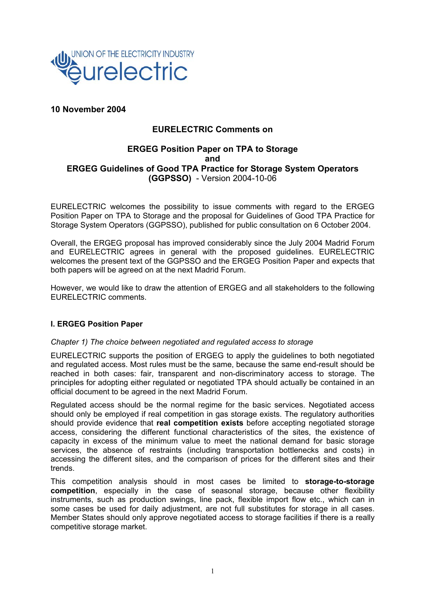

# **10 November 2004**

## **EURELECTRIC Comments on**

## **ERGEG Position Paper on TPA to Storage and ERGEG Guidelines of Good TPA Practice for Storage System Operators (GGPSSO)** - Version 2004-10-06

EURELECTRIC welcomes the possibility to issue comments with regard to the ERGEG Position Paper on TPA to Storage and the proposal for Guidelines of Good TPA Practice for Storage System Operators (GGPSSO), published for public consultation on 6 October 2004.

Overall, the ERGEG proposal has improved considerably since the July 2004 Madrid Forum and EURELECTRIC agrees in general with the proposed guidelines. EURELECTRIC welcomes the present text of the GGPSSO and the ERGEG Position Paper and expects that both papers will be agreed on at the next Madrid Forum.

However, we would like to draw the attention of ERGEG and all stakeholders to the following EURELECTRIC comments.

### **I. ERGEG Position Paper**

#### *Chapter 1) The choice between negotiated and regulated access to storage*

EURELECTRIC supports the position of ERGEG to apply the guidelines to both negotiated and regulated access. Most rules must be the same, because the same end-result should be reached in both cases: fair, transparent and non-discriminatory access to storage. The principles for adopting either regulated or negotiated TPA should actually be contained in an official document to be agreed in the next Madrid Forum.

Regulated access should be the normal regime for the basic services. Negotiated access should only be employed if real competition in gas storage exists. The regulatory authorities should provide evidence that **real competition exists** before accepting negotiated storage access, considering the different functional characteristics of the sites, the existence of capacity in excess of the minimum value to meet the national demand for basic storage services, the absence of restraints (including transportation bottlenecks and costs) in accessing the different sites, and the comparison of prices for the different sites and their trends.

This competition analysis should in most cases be limited to **storage-to-storage competition**, especially in the case of seasonal storage, because other flexibility instruments, such as production swings, line pack, flexible import flow etc., which can in some cases be used for daily adjustment, are not full substitutes for storage in all cases. Member States should only approve negotiated access to storage facilities if there is a really competitive storage market.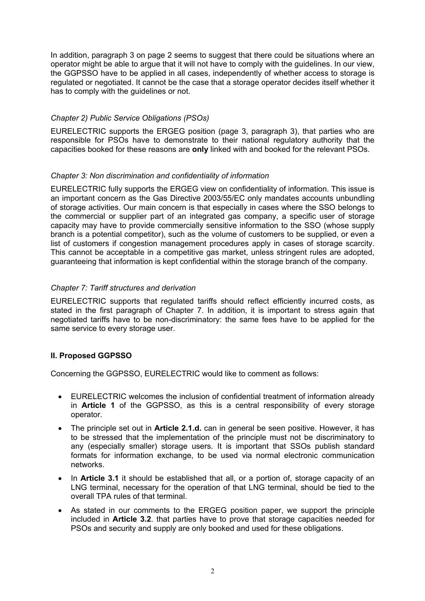In addition, paragraph 3 on page 2 seems to suggest that there could be situations where an operator might be able to argue that it will not have to comply with the guidelines. In our view, the GGPSSO have to be applied in all cases, independently of whether access to storage is regulated or negotiated. It cannot be the case that a storage operator decides itself whether it has to comply with the guidelines or not.

## *Chapter 2) Public Service Obligations (PSOs)*

EURELECTRIC supports the ERGEG position (page 3, paragraph 3), that parties who are responsible for PSOs have to demonstrate to their national regulatory authority that the capacities booked for these reasons are **only** linked with and booked for the relevant PSOs.

## *Chapter 3: Non discrimination and confidentiality of information*

EURELECTRIC fully supports the ERGEG view on confidentiality of information. This issue is an important concern as the Gas Directive 2003/55/EC only mandates accounts unbundling of storage activities. Our main concern is that especially in cases where the SSO belongs to the commercial or supplier part of an integrated gas company, a specific user of storage capacity may have to provide commercially sensitive information to the SSO (whose supply branch is a potential competitor), such as the volume of customers to be supplied, or even a list of customers if congestion management procedures apply in cases of storage scarcity. This cannot be acceptable in a competitive gas market, unless stringent rules are adopted, guaranteeing that information is kept confidential within the storage branch of the company.

### *Chapter 7: Tariff structures and derivation*

EURELECTRIC supports that regulated tariffs should reflect efficiently incurred costs, as stated in the first paragraph of Chapter 7. In addition, it is important to stress again that negotiated tariffs have to be non-discriminatory: the same fees have to be applied for the same service to every storage user.

## **II. Proposed GGPSSO**

Concerning the GGPSSO, EURELECTRIC would like to comment as follows:

- EURELECTRIC welcomes the inclusion of confidential treatment of information already in **Article 1** of the GGPSSO, as this is a central responsibility of every storage operator.
- The principle set out in **Article 2.1.d.** can in general be seen positive. However, it has to be stressed that the implementation of the principle must not be discriminatory to any (especially smaller) storage users. It is important that SSOs publish standard formats for information exchange, to be used via normal electronic communication networks.
- In **Article 3.1** it should be established that all, or a portion of, storage capacity of an LNG terminal, necessary for the operation of that LNG terminal, should be tied to the overall TPA rules of that terminal.
- As stated in our comments to the ERGEG position paper, we support the principle included in **Article 3.2**. that parties have to prove that storage capacities needed for PSOs and security and supply are only booked and used for these obligations.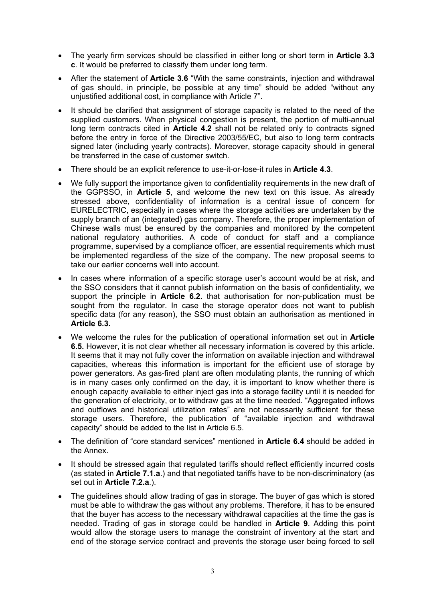- The yearly firm services should be classified in either long or short term in **Article 3.3 c**. It would be preferred to classify them under long term.
- After the statement of **Article 3.6** "With the same constraints, injection and withdrawal of gas should, in principle, be possible at any time" should be added "without any unjustified additional cost, in compliance with Article 7".
- It should be clarified that assignment of storage capacity is related to the need of the supplied customers. When physical congestion is present, the portion of multi-annual long term contracts cited in **Article 4.2** shall not be related only to contracts signed before the entry in force of the Directive 2003/55/EC, but also to long term contracts signed later (including yearly contracts). Moreover, storage capacity should in general be transferred in the case of customer switch.
- There should be an explicit reference to use-it-or-lose-it rules in **Article 4.3**.
- We fully support the importance given to confidentiality requirements in the new draft of the GGPSSO, in **Article 5**, and welcome the new text on this issue. As already stressed above, confidentiality of information is a central issue of concern for EURELECTRIC, especially in cases where the storage activities are undertaken by the supply branch of an (integrated) gas company. Therefore, the proper implementation of Chinese walls must be ensured by the companies and monitored by the competent national regulatory authorities. A code of conduct for staff and a compliance programme, supervised by a compliance officer, are essential requirements which must be implemented regardless of the size of the company. The new proposal seems to take our earlier concerns well into account.
- In cases where information of a specific storage user's account would be at risk, and the SSO considers that it cannot publish information on the basis of confidentiality, we support the principle in **Article 6.2.** that authorisation for non-publication must be sought from the regulator. In case the storage operator does not want to publish specific data (for any reason), the SSO must obtain an authorisation as mentioned in **Article 6.3.**
- We welcome the rules for the publication of operational information set out in **Article 6.5.** However, it is not clear whether all necessary information is covered by this article. It seems that it may not fully cover the information on available injection and withdrawal capacities, whereas this information is important for the efficient use of storage by power generators. As gas-fired plant are often modulating plants, the running of which is in many cases only confirmed on the day, it is important to know whether there is enough capacity available to either inject gas into a storage facility until it is needed for the generation of electricity, or to withdraw gas at the time needed. "Aggregated inflows and outflows and historical utilization rates" are not necessarily sufficient for these storage users. Therefore, the publication of "available injection and withdrawal capacity" should be added to the list in Article 6.5.
- The definition of "core standard services" mentioned in **Article 6.4** should be added in the Annex.
- It should be stressed again that regulated tariffs should reflect efficiently incurred costs (as stated in **Article 7.1.a**.) and that negotiated tariffs have to be non-discriminatory (as set out in **Article 7.2.a**.).
- The guidelines should allow trading of gas in storage. The buyer of gas which is stored must be able to withdraw the gas without any problems. Therefore, it has to be ensured that the buyer has access to the necessary withdrawal capacities at the time the gas is needed. Trading of gas in storage could be handled in **Article 9**. Adding this point would allow the storage users to manage the constraint of inventory at the start and end of the storage service contract and prevents the storage user being forced to sell